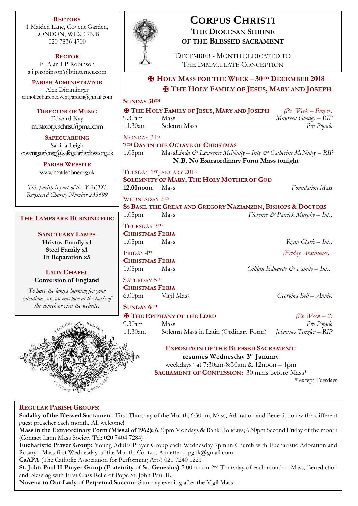**RECTORY** 1 Maiden Lane, Covent Garden, LONDON, WC2E 7NB 020 7836 4700

**RECTOR** Fr Alan I P Robinson [a.i.p.robinson@btinternet.com](mailto:a.i.p.robinson@btinternet.com)

**PARISH ADMINISTRATOR** Alex Dimminger [catholicchurchcoventgarden@gmail.com](mailto:catholicchurchcoventgarden@gmail.com)

**DIRECTOR OF MUSIC** Edward Kay musiccorpuschristi@gmail.com

**SAFEGUARDING** Sabina Leigh [coventgardensg@safeguardrcdow.org.uk](mailto:coventgardensg@safeguardrcdow.org.uk)

> **PARISH WEBSITE** [www.maidenlane.org.uk](http://www.maidenlane.org.uk/)

*This parish is part of the WRCDT Registered Charity Number 233699*

# **THE LAMPS ARE BURNING FOR:**

**SANCTUARY LAMPS Hristov Family x1 Steel Family x1 In Reparation x5**

**LADY CHAPEL Conversion of England**

*To have the lamps burning for your intentions, use an envelope at the back of the church or visit the website.*





# **CORPUS CHRISTI THE DIOCESAN SHRINE OF THE BLESSED SACRAMENT**

DECEMBER - MONTH DEDICATED TO THE IMMACULATE CONCEPTION

# ✠ **HOLY MASS FOR THE WEEK – 30TH DECEMBER 2018** ✠ **THE HOLY FAMILY OF JESUS, MARY AND JOSEPH**

**SUNDAY 30TH**

✠ **THE HOLY FAMILY OF JESUS, MARY AND JOSEPH** *(Ps. Week – Proper)* 9.30am Mass *Maureen Goodey – RIP* 11.30am Solemn Mass *Pro Populo*

MONDAY 31ST **7TH DAY IN THE OCTAVE OF CHRISTMAS** 1.05pm Mass*Linda & Lawrence McNulty – Ints & Catherine McNulty – RIP* **N.B. No Extraordinary Form Mass tonight**

TUESDAY 1ST JANUARY 2019 **SOLEMNITY OF MARY, THE HOLY MOTHER OF GOD 12.00noon** Mass *Foundation Mass*

WEDNESDAY 2ND **SS BASIL THE GREAT AND GREGORY NAZIANZEN, BISHOPS & DOCTORS** 1.05pm Mass *Florence & Patrick Murphy – Ints.*

THURSDAY 3RD

**CHRISTMAS FERIA** 1.05pm Mass *Ryan Clark – Ints.*

FRIDAY 4TH *(Friday Abstinence)* **CHRISTMAS FERIA**

SATURDAY 5TH

**CHRISTMAS FERIA** 6.00pm Vigil Mass *Georgina Bell – Anniv.*

# **SUNDAY 6TH**

 $\mathbf{\Psi}$  **T**HE **EPIPHANY OF THE LORD** (*Ps. Week – 2)* 9.30am Mass *Pro Populo* 11.30am Solemn Mass in Latin (Ordinary Form) *Johannes Tenzler – RIP*

> **EXPOSITION OF THE BLESSED SACRAMENT: resumes Wednesday 3rd January**

weekdays\* at 7:30am-8:30am & 12noon – 1pm **SACRAMENT OF CONFESSION:** 30 mins before Mass\*

\* except Tuesdays

# **REGULAR PARISH GROUPS:**

**Sodality of the Blessed Sacrament:** First Thursday of the Month, 6:30pm, Mass, Adoration and Benediction with a different guest preacher each month. All welcome!

**Mass in the Extraordinary Form (Missal of 1962):** 6.30pm Mondays & Bank Holidays; 6:30pm Second Friday of the month (Contact Latin Mass Society Tel: 020 7404 7284)

**Eucharistic Prayer Group:** Young Adults Prayer Group each Wednesday 7pm in Church with Eucharistic Adoration and Rosary - Mass first Wednesday of the Month. Contact Annette: ccpguk@gmail.com

**CaAPA** (The Catholic Association for Performing Arts) 020 7240 1221

**St. John Paul II Prayer Group (Fraternity of St. Genesius)** 7.00pm on 2nd Thursday of each month – Mass, Benediction and Blessing with First Class Relic of Pope St. John Paul II.

**Novena to Our Lady of Perpetual Succour** Saturday evening after the Vigil Mass.

1.05pm Mass *Gillian Edwards & Family – Ints.*